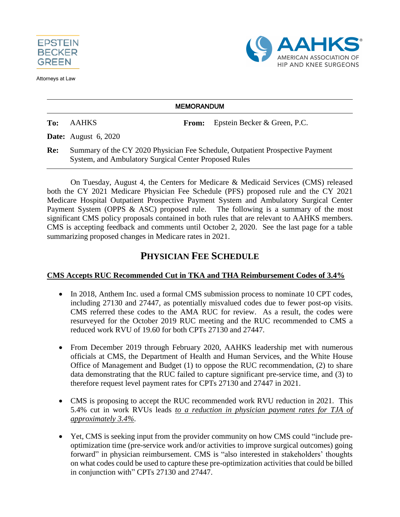

Attorneys at Law



#### **MEMORANDUM**

**To:** AAHKS **From:** Epstein Becker & Green, P.C.

**Date:** August 6, 2020

**Re:** Summary of the CY 2020 Physician Fee Schedule, Outpatient Prospective Payment System, and Ambulatory Surgical Center Proposed Rules

On Tuesday, August 4, the Centers for Medicare & Medicaid Services (CMS) released both the CY 2021 Medicare Physician Fee Schedule (PFS) proposed rule and the CY 2021 Medicare Hospital Outpatient Prospective Payment System and Ambulatory Surgical Center Payment System (OPPS & ASC) proposed rule. The following is a summary of the most significant CMS policy proposals contained in both rules that are relevant to AAHKS members. CMS is accepting feedback and comments until October 2, 2020. See the last page for a table summarizing proposed changes in Medicare rates in 2021.

## **PHYSICIAN FEE SCHEDULE**

### **CMS Accepts RUC Recommended Cut in TKA and THA Reimbursement Codes of 3.4%**

- In 2018, Anthem Inc. used a formal CMS submission process to nominate 10 CPT codes, including 27130 and 27447, as potentially misvalued codes due to fewer post-op visits. CMS referred these codes to the AMA RUC for review. As a result, the codes were resurveyed for the October 2019 RUC meeting and the RUC recommended to CMS a reduced work RVU of 19.60 for both CPTs 27130 and 27447.
- From December 2019 through February 2020, AAHKS leadership met with numerous officials at CMS, the Department of Health and Human Services, and the White House Office of Management and Budget (1) to oppose the RUC recommendation, (2) to share data demonstrating that the RUC failed to capture significant pre-service time, and (3) to therefore request level payment rates for CPTs 27130 and 27447 in 2021.
- CMS is proposing to accept the RUC recommended work RVU reduction in 2021. This 5.4% cut in work RVUs leads *to a reduction in physician payment rates for TJA of approximately 3.4%*.
- Yet, CMS is seeking input from the provider community on how CMS could "include preoptimization time (pre-service work and/or activities to improve surgical outcomes) going forward" in physician reimbursement. CMS is "also interested in stakeholders' thoughts on what codes could be used to capture these pre-optimization activities that could be billed in conjunction with" CPTs 27130 and 27447.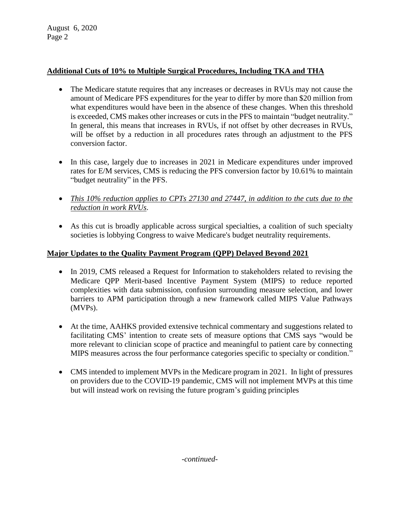August 6, 2020 Page 2

### **Additional Cuts of 10% to Multiple Surgical Procedures, Including TKA and THA**

- The Medicare statute requires that any increases or decreases in RVUs may not cause the amount of Medicare PFS expenditures for the year to differ by more than \$20 million from what expenditures would have been in the absence of these changes. When this threshold is exceeded, CMS makes other increases or cuts in the PFS to maintain "budget neutrality." In general, this means that increases in RVUs, if not offset by other decreases in RVUs, will be offset by a reduction in all procedures rates through an adjustment to the PFS conversion factor.
- In this case, largely due to increases in 2021 in Medicare expenditures under improved rates for E/M services, CMS is reducing the PFS conversion factor by 10.61% to maintain "budget neutrality" in the PFS.
- *This 10% reduction applies to CPTs 27130 and 27447, in addition to the cuts due to the reduction in work RVUs*.
- As this cut is broadly applicable across surgical specialties, a coalition of such specialty societies is lobbying Congress to waive Medicare's budget neutrality requirements.

### **Major Updates to the Quality Payment Program (QPP) Delayed Beyond 2021**

- In 2019, CMS released a Request for Information to stakeholders related to revising the Medicare QPP Merit-based Incentive Payment System (MIPS) to reduce reported complexities with data submission, confusion surrounding measure selection, and lower barriers to APM participation through a new framework called MIPS Value Pathways (MVPs).
- At the time, AAHKS provided extensive technical commentary and suggestions related to facilitating CMS' intention to create sets of measure options that CMS says "would be more relevant to clinician scope of practice and meaningful to patient care by connecting MIPS measures across the four performance categories specific to specialty or condition."
- CMS intended to implement MVPs in the Medicare program in 2021. In light of pressures on providers due to the COVID-19 pandemic, CMS will not implement MVPs at this time but will instead work on revising the future program's guiding principles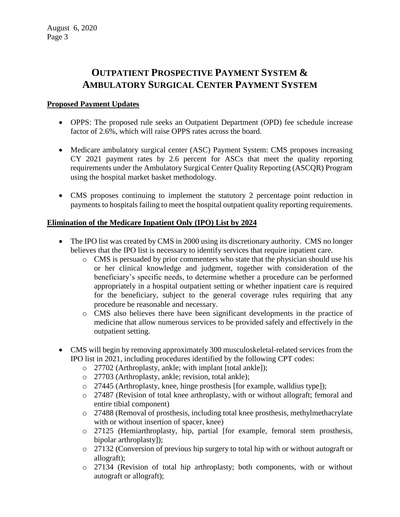# **OUTPATIENT PROSPECTIVE PAYMENT SYSTEM & AMBULATORY SURGICAL CENTER PAYMENT SYSTEM**

#### **Proposed Payment Updates**

- OPPS: The proposed rule seeks an Outpatient Department (OPD) fee schedule increase factor of 2.6%, which will raise OPPS rates across the board.
- Medicare ambulatory surgical center (ASC) Payment System: CMS proposes increasing CY 2021 payment rates by 2.6 percent for ASCs that meet the quality reporting requirements under the Ambulatory Surgical Center Quality Reporting (ASCQR) Program using the hospital market basket methodology.
- CMS proposes continuing to implement the statutory 2 percentage point reduction in payments to hospitals failing to meet the hospital outpatient quality reporting requirements.

### **Elimination of the Medicare Inpatient Only (IPO) List by 2024**

- The IPO list was created by CMS in 2000 using its discretionary authority. CMS no longer believes that the IPO list is necessary to identify services that require inpatient care.
	- o CMS is persuaded by prior commenters who state that the physician should use his or her clinical knowledge and judgment, together with consideration of the beneficiary's specific needs, to determine whether a procedure can be performed appropriately in a hospital outpatient setting or whether inpatient care is required for the beneficiary, subject to the general coverage rules requiring that any procedure be reasonable and necessary.
	- o CMS also believes there have been significant developments in the practice of medicine that allow numerous services to be provided safely and effectively in the outpatient setting.
- CMS will begin by removing approximately 300 musculoskeletal-related services from the IPO list in 2021, including procedures identified by the following CPT codes:
	- o 27702 (Arthroplasty, ankle; with implant [total ankle]);
	- o 27703 (Arthroplasty, ankle; revision, total ankle);
	- o 27445 (Arthroplasty, knee, hinge prosthesis [for example, walldius type]);
	- o 27487 (Revision of total knee arthroplasty, with or without allograft; femoral and entire tibial component)
	- o 27488 (Removal of prosthesis, including total knee prosthesis, methylmethacrylate with or without insertion of spacer, knee)
	- o 27125 (Hemiarthroplasty, hip, partial [for example, femoral stem prosthesis, bipolar arthroplasty]);
	- o 27132 (Conversion of previous hip surgery to total hip with or without autograft or allograft);
	- o 27134 (Revision of total hip arthroplasty; both components, with or without autograft or allograft);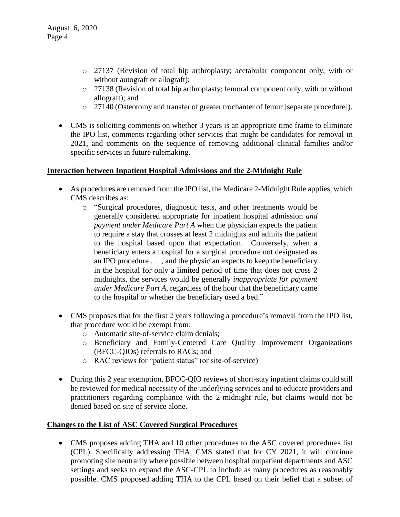- o 27137 (Revision of total hip arthroplasty; acetabular component only, with or without autograft or allograft);
- $\circ$  27138 (Revision of total hip arthroplasty; femoral component only, with or without allograft); and
- o 27140 (Osteotomy and transfer of greater trochanter of femur [separate procedure]).
- CMS is soliciting comments on whether 3 years is an appropriate time frame to eliminate the IPO list, comments regarding other services that might be candidates for removal in 2021, and comments on the sequence of removing additional clinical families and/or specific services in future rulemaking.

#### **Interaction between Inpatient Hospital Admissions and the 2-Midnight Rule**

- As procedures are removed from the IPO list, the Medicare 2-Midnight Rule applies, which CMS describes as:
	- o "Surgical procedures, diagnostic tests, and other treatments would be generally considered appropriate for inpatient hospital admission *and payment under Medicare Part A* when the physician expects the patient to require a stay that crosses at least 2 midnights and admits the patient to the hospital based upon that expectation. Conversely, when a beneficiary enters a hospital for a surgical procedure not designated as an IPO procedure . . . , and the physician expects to keep the beneficiary in the hospital for only a limited period of time that does not cross 2 midnights, the services would be generally *inappropriate for payment under Medicare Part A*, regardless of the hour that the beneficiary came to the hospital or whether the beneficiary used a bed."
- CMS proposes that for the first 2 years following a procedure's removal from the IPO list, that procedure would be exempt from:
	- o Automatic site-of-service claim denials;
	- o Beneficiary and Family-Centered Care Quality Improvement Organizations (BFCC-QIOs) referrals to RACs; and
	- o RAC reviews for "patient status" (or site-of-service)
- During this 2 year exemption, BFCC-QIO reviews of short-stay inpatient claims could still be reviewed for medical necessity of the underlying services and to educate providers and practitioners regarding compliance with the 2-midnight rule, but claims would not be denied based on site of service alone.

#### **Changes to the List of ASC Covered Surgical Procedures**

 CMS proposes adding THA and 10 other procedures to the ASC covered procedures list (CPL). Specifically addressing THA, CMS stated that for CY 2021, it will continue promoting site neutrality where possible between hospital outpatient departments and ASC settings and seeks to expand the ASC-CPL to include as many procedures as reasonably possible. CMS proposed adding THA to the CPL based on their belief that a subset of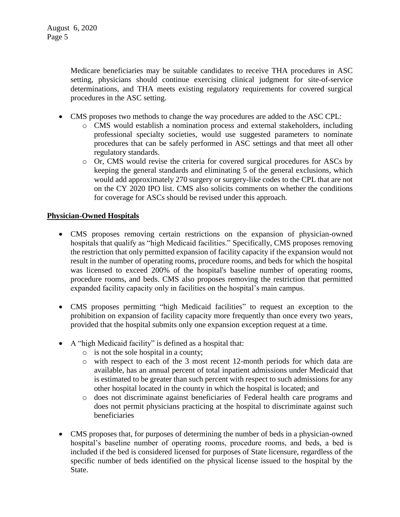Medicare beneficiaries may be suitable candidates to receive THA procedures in ASC setting, physicians should continue exercising clinical judgment for site-of-service determinations, and THA meets existing regulatory requirements for covered surgical procedures in the ASC setting.

- CMS proposes two methods to change the way procedures are added to the ASC CPL:
	- o CMS would establish a nomination process and external stakeholders, including professional specialty societies, would use suggested parameters to nominate procedures that can be safely performed in ASC settings and that meet all other regulatory standards.
	- o Or, CMS would revise the criteria for covered surgical procedures for ASCs by keeping the general standards and eliminating 5 of the general exclusions, which would add approximately 270 surgery or surgery-like codes to the CPL that are not on the CY 2020 IPO list. CMS also solicits comments on whether the conditions for coverage for ASCs should be revised under this approach.

#### **Physician-Owned Hospitals**

- CMS proposes removing certain restrictions on the expansion of physician-owned hospitals that qualify as "high Medicaid facilities." Specifically, CMS proposes removing the restriction that only permitted expansion of facility capacity if the expansion would not result in the number of operating rooms, procedure rooms, and beds for which the hospital was licensed to exceed 200% of the hospital's baseline number of operating rooms, procedure rooms, and beds. CMS also proposes removing the restriction that permitted expanded facility capacity only in facilities on the hospital's main campus.
- CMS proposes permitting "high Medicaid facilities" to request an exception to the prohibition on expansion of facility capacity more frequently than once every two years, provided that the hospital submits only one expansion exception request at a time.
- A "high Medicaid facility" is defined as a hospital that:
	- o is not the sole hospital in a county;
	- o with respect to each of the 3 most recent 12-month periods for which data are available, has an annual percent of total inpatient admissions under Medicaid that is estimated to be greater than such percent with respect to such admissions for any other hospital located in the county in which the hospital is located; and
	- o does not discriminate against beneficiaries of Federal health care programs and does not permit physicians practicing at the hospital to discriminate against such beneficiaries
- CMS proposes that, for purposes of determining the number of beds in a physician-owned hospital's baseline number of operating rooms, procedure rooms, and beds, a bed is included if the bed is considered licensed for purposes of State licensure, regardless of the specific number of beds identified on the physical license issued to the hospital by the State.